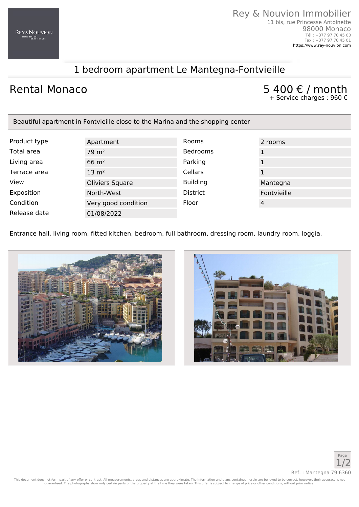# 1 bedroom apartment Le Mantegna-Fontvieille

## Rental Monaco  $5\,400\,\mathrm{\epsilon}$  / month

Tél : +377 97 70 45 00 Fax : +377 97 70 45 01 <https://www.rey-nouvion.com>

+ Service charges : 960 €

| Beautiful apartment in Fontvieille close to the Marina and the shopping center |                      |                 |              |
|--------------------------------------------------------------------------------|----------------------|-----------------|--------------|
|                                                                                |                      |                 |              |
| Product type                                                                   | Apartment            | <b>Rooms</b>    | 2 rooms      |
| Total area                                                                     | $79 \; \mathrm{m}^2$ | <b>Bedrooms</b> | 1            |
| Living area                                                                    | $66 \text{ m}^2$     | Parking         | $\mathbf{1}$ |
| Terrace area                                                                   | $13 \text{ m}^2$     | Cellars         |              |
| View                                                                           | Oliviers Square      | <b>Building</b> | Mantegna     |
| Exposition                                                                     | North-West           | <b>District</b> | Fontvieille  |
| Condition                                                                      | Very good condition  | Floor           | 4            |
| Release date                                                                   | 01/08/2022           |                 |              |

Entrance hall, living room, fitted kitchen, bedroom, full bathroom, dressing room, laundry room, loggia.







This document does not form part of any offer or contract. All measurements, areas and distances are approximate. The information and plans contained herein are believed to be correct, however, their accuracy is not<br>guaran